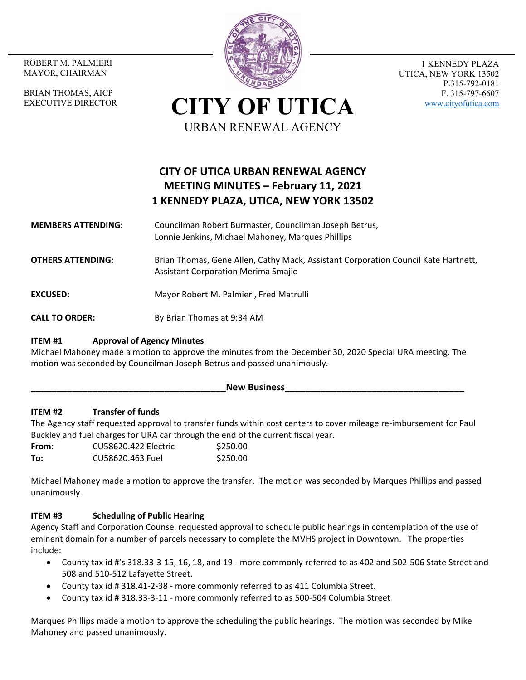MAYOR, CHAIRMAN

BRIAN THOMAS, AICP EXECUTIVE DIRECTOR



1 KENNEDY PLAZA UTICA, NEW YORK 13502 P.315-792-0181 F. 315-797-6607 www.cityofutica.com

**CITY OF UTICA** URBAN RENEWAL AGENCY

# **CITY OF UTICA URBAN RENEWAL AGENCY MEETING MINUTES – February 11, 2021 1 KENNEDY PLAZA, UTICA, NEW YORK 13502**

**MEMBERS ATTENDING:**  Councilman Robert Burmaster, Councilman Joseph Betrus, Lonnie Jenkins, Michael Mahoney, Marques Phillips

**OTHERS ATTENDING:** Brian Thomas, Gene Allen, Cathy Mack, Assistant Corporation Council Kate Hartnett, Assistant Corporation Merima Smajic

**EXCUSED: Mayor Robert M. Palmieri, Fred Matrulli** 

**CALL TO ORDER:** By Brian Thomas at 9:34 AM

# **ITEM #1 Approval of Agency Minutes**

Michael Mahoney made a motion to approve the minutes from the December 30, 2020 Special URA meeting. The motion was seconded by Councilman Joseph Betrus and passed unanimously.

### New Business

## **ITEM #2 Transfer of funds**

The Agency staff requested approval to transfer funds within cost centers to cover mileage re‐imbursement for Paul Buckley and fuel charges for URA car through the end of the current fiscal year.

**From**: CU58620.422 Electric \$250.00 **To:** CU58620.463 Fuel \$250.00

Michael Mahoney made a motion to approve the transfer. The motion was seconded by Marques Phillips and passed unanimously.

## **ITEM #3 Scheduling of Public Hearing**

Agency Staff and Corporation Counsel requested approval to schedule public hearings in contemplation of the use of eminent domain for a number of parcels necessary to complete the MVHS project in Downtown. The properties include:

- County tax id #'s 318.33‐3‐15, 16, 18, and 19 ‐ more commonly referred to as 402 and 502‐506 State Street and 508 and 510‐512 Lafayette Street.
- County tax id # 318.41‐2‐38 ‐ more commonly referred to as 411 Columbia Street.
- County tax id # 318.33‐3‐11 ‐ more commonly referred to as 500‐504 Columbia Street

Marques Phillips made a motion to approve the scheduling the public hearings. The motion was seconded by Mike Mahoney and passed unanimously.